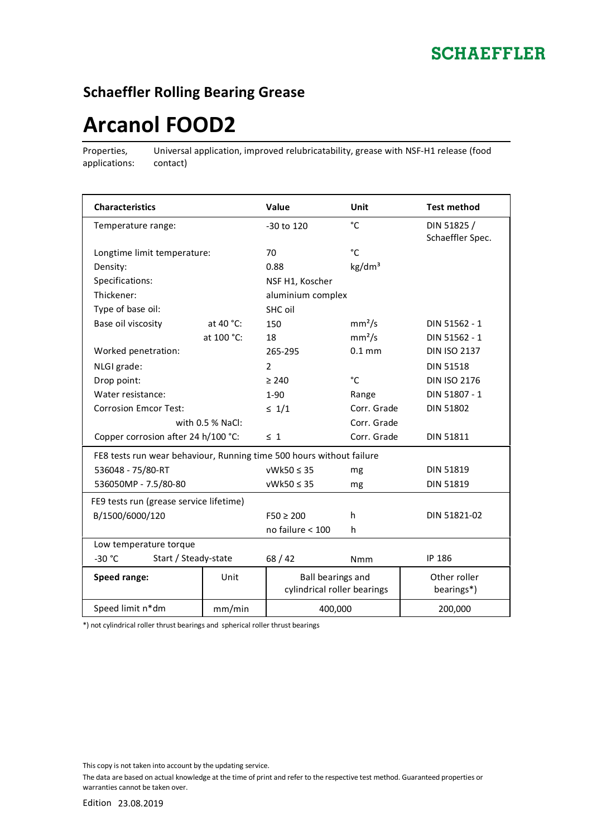## **Schaeffler Rolling Bearing Grease**

# **Arcanol FOOD2**

Properties, applications:

Universal application, improved relubricatability, grease with NSF-H1 release (food contact)

| <b>Characteristics</b>                                               |              | Value                                            | Unit               | <b>Test method</b>              |  |
|----------------------------------------------------------------------|--------------|--------------------------------------------------|--------------------|---------------------------------|--|
| Temperature range:                                                   |              | -30 to 120                                       | °C                 | DIN 51825 /<br>Schaeffler Spec. |  |
| Longtime limit temperature:                                          |              | 70                                               | °C                 |                                 |  |
| Density:                                                             |              | 0.88                                             | kg/dm <sup>3</sup> |                                 |  |
| Specifications:                                                      |              | NSF H1, Koscher                                  |                    |                                 |  |
| Thickener:                                                           |              | aluminium complex                                |                    |                                 |  |
| Type of base oil:                                                    |              | SHC oil                                          |                    |                                 |  |
| Base oil viscosity                                                   | at 40 $°C$ : | 150                                              | mm <sup>2</sup> /s | DIN 51562 - 1                   |  |
|                                                                      | at 100 °C:   | 18                                               | mm <sup>2</sup> /s | DIN 51562 - 1                   |  |
| Worked penetration:                                                  |              | 265-295                                          | $0.1 \text{ mm}$   | <b>DIN ISO 2137</b>             |  |
| NLGI grade:                                                          |              | $\overline{2}$                                   |                    | <b>DIN 51518</b>                |  |
| Drop point:                                                          |              | $\geq 240$                                       | °C                 | <b>DIN ISO 2176</b>             |  |
| Water resistance:                                                    |              | $1-90$                                           | Range              | DIN 51807 - 1                   |  |
| <b>Corrosion Emcor Test:</b>                                         |              | $\leq 1/1$                                       | Corr. Grade        | <b>DIN 51802</b>                |  |
| with $0.5$ % NaCl:                                                   |              |                                                  | Corr. Grade        |                                 |  |
| Copper corrosion after 24 h/100 °C:                                  |              | $\leq 1$                                         | Corr. Grade        | <b>DIN 51811</b>                |  |
| FE8 tests run wear behaviour, Running time 500 hours without failure |              |                                                  |                    |                                 |  |
| 536048 - 75/80-RT                                                    |              | $vWk50 \leq 35$                                  | mg                 | <b>DIN 51819</b>                |  |
| 536050MP - 7.5/80-80                                                 |              | $vWk50 \leq 35$                                  | mg                 | <b>DIN 51819</b>                |  |
| FE9 tests run (grease service lifetime)                              |              |                                                  |                    |                                 |  |
| B/1500/6000/120                                                      |              | $F50 \ge 200$                                    | h                  | DIN 51821-02                    |  |
|                                                                      |              | no failure < 100                                 | h                  |                                 |  |
| Low temperature torque                                               |              |                                                  |                    |                                 |  |
| $-30 °C$<br>Start / Steady-state                                     |              | 68/42                                            | <b>Nmm</b>         | IP 186                          |  |
| Speed range:                                                         | Unit         | Ball bearings and<br>cylindrical roller bearings |                    | Other roller<br>bearings*)      |  |
| Speed limit n*dm                                                     | mm/min       | 400,000                                          |                    | 200,000                         |  |

\*) not cylindrical roller thrust bearings and spherical roller thrust bearings

This copy is not taken into account by the updating service.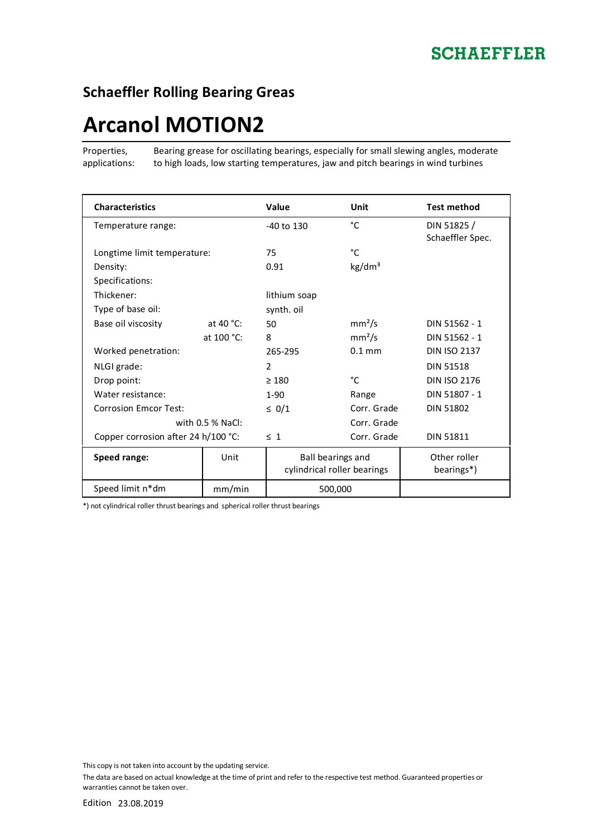## **Schaeffler Rolling Bearing Greas**

# **Arcanol MOTION2**

Properties, applications: Bearing grease for oscillating bearings, especially for small slewing angles, moderate to high loads, low starting temperatures, jaw and pitch bearings in wind turbines

| <b>Characteristics</b>              |              | Value                                                   | Unit               | <b>Test method</b>             |
|-------------------------------------|--------------|---------------------------------------------------------|--------------------|--------------------------------|
| Temperature range:                  |              | $-40$ to $130$                                          | °C                 | DIN 51825/<br>Schaeffler Spec. |
| Longtime limit temperature:         |              | 75                                                      | °C                 |                                |
| Density:                            |              | 0.91                                                    | kg/dm <sup>3</sup> |                                |
| Specifications:                     |              |                                                         |                    |                                |
| Thickener:                          |              | lithium soap                                            |                    |                                |
| Type of base oil:                   |              | synth. oil                                              |                    |                                |
| Base oil viscosity                  | at 40 $°C$ : | 50                                                      | mm <sup>2</sup> /s | DIN 51562 - 1                  |
|                                     | at 100 °C:   | 8                                                       | mm <sup>2</sup> /s | DIN 51562 - 1                  |
| Worked penetration:                 |              | 265-295                                                 | $0.1$ mm           | <b>DIN ISO 2137</b>            |
| NLGI grade:                         |              | $\overline{2}$                                          |                    | <b>DIN 51518</b>               |
| Drop point:                         |              | $\geq 180$                                              | °C                 | <b>DIN ISO 2176</b>            |
| Water resistance:                   |              | $1-90$                                                  | Range              | DIN 51807 - 1                  |
| <b>Corrosion Emcor Test:</b>        |              | $\leq 0/1$                                              | Corr. Grade        | <b>DIN 51802</b>               |
| with 0.5 % NaCl:                    |              |                                                         | Corr. Grade        |                                |
| Copper corrosion after 24 h/100 °C: |              | $\leq 1$                                                | Corr. Grade        | <b>DIN 51811</b>               |
| Speed range:                        | Unit         | <b>Ball bearings and</b><br>cylindrical roller bearings |                    | Other roller<br>bearings*)     |
| Speed limit n*dm                    | mm/min       | 500,000                                                 |                    |                                |

\*) not cylindrical roller thrust bearings and spherical roller thrust bearings

This copy is not taken into account by the updating service.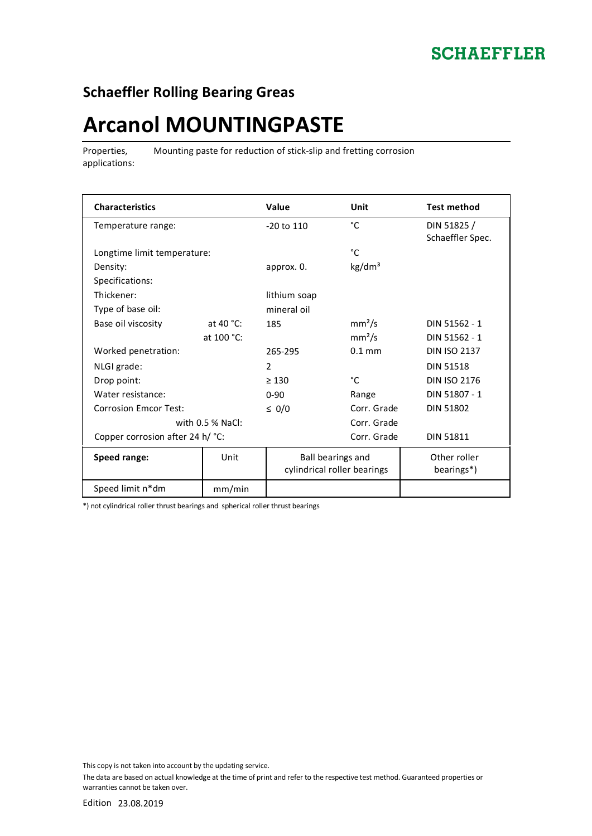## **SCHAEFFLER**

## **Schaeffler Rolling Bearing Greas**

# **Arcanol MOUNTINGPASTE**

Properties, applications: Mounting paste for reduction of stick-slip and fretting corrosion

| <b>Characteristics</b>           |                    | <b>Value</b>                                     | Unit               | <b>Test method</b>                      |
|----------------------------------|--------------------|--------------------------------------------------|--------------------|-----------------------------------------|
| Temperature range:               |                    | $-20$ to $110$                                   | °C                 | DIN 51825 /<br>Schaeffler Spec.         |
| Longtime limit temperature:      |                    |                                                  | °C                 |                                         |
| Density:                         |                    | approx. 0.                                       | kg/dm <sup>3</sup> |                                         |
| Specifications:                  |                    |                                                  |                    |                                         |
| Thickener:                       |                    | lithium soap                                     |                    |                                         |
| Type of base oil:                |                    | mineral oil                                      |                    |                                         |
| Base oil viscosity               | at 40 $°C$ :       | 185                                              | mm <sup>2</sup> /s | DIN 51562 - 1                           |
|                                  | at 100 °C:         |                                                  | mm <sup>2</sup> /s | DIN 51562 - 1                           |
| Worked penetration:              |                    | 265-295                                          | $0.1$ mm           | <b>DIN ISO 2137</b>                     |
| NLGI grade:                      |                    | $\overline{2}$                                   |                    | <b>DIN 51518</b>                        |
| Drop point:                      |                    | $\geq 130$                                       | °C                 | <b>DIN ISO 2176</b>                     |
| Water resistance:                |                    | $0 - 90$                                         | Range              | DIN 51807 - 1                           |
| <b>Corrosion Emcor Test:</b>     |                    | $\leq 0/0$                                       | Corr. Grade        | <b>DIN 51802</b>                        |
|                                  | with $0.5$ % NaCl: |                                                  | Corr. Grade        |                                         |
| Copper corrosion after 24 h/ °C: |                    |                                                  | Corr. Grade        | <b>DIN 51811</b>                        |
| Speed range:                     | Unit               | Ball bearings and<br>cylindrical roller bearings |                    | Other roller<br>bearings <sup>*</sup> ) |
| Speed limit n*dm                 | mm/min             |                                                  |                    |                                         |

\*) not cylindrical roller thrust bearings and spherical roller thrust bearings

This copy is not taken into account by the updating service.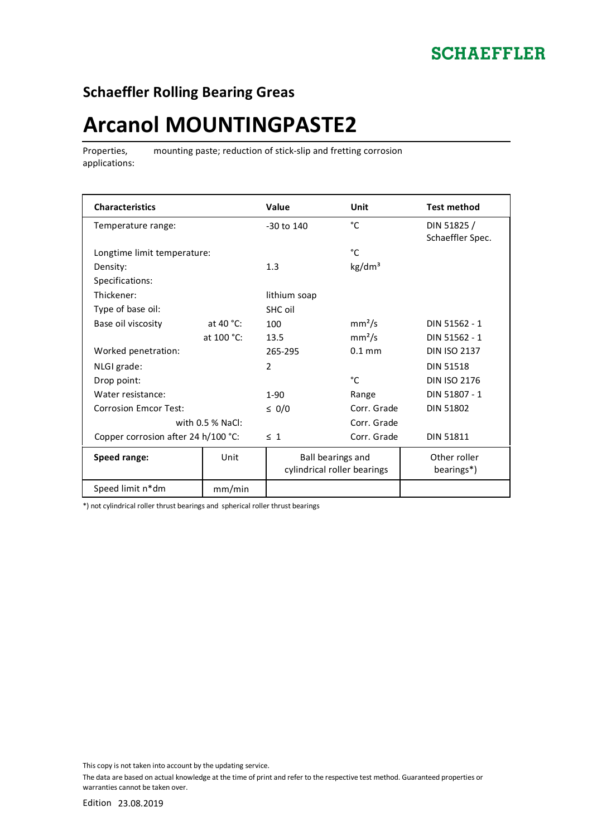## **SCHAEFFLER**

## **Schaeffler Rolling Bearing Greas**

## **Arcanol MOUNTINGPASTE2**

Properties, applications: mounting paste; reduction of stick-slip and fretting corrosion

| <b>Characteristics</b>              |              | Value                                            | Unit               | <b>Test method</b>              |
|-------------------------------------|--------------|--------------------------------------------------|--------------------|---------------------------------|
| Temperature range:                  |              | $-30$ to $140$                                   | °C                 | DIN 51825 /<br>Schaeffler Spec. |
| Longtime limit temperature:         |              |                                                  | °C                 |                                 |
| Density:                            |              | 1.3                                              | kg/dm <sup>3</sup> |                                 |
| Specifications:                     |              |                                                  |                    |                                 |
| Thickener:                          |              | lithium soap                                     |                    |                                 |
| Type of base oil:                   |              | SHC oil                                          |                    |                                 |
| Base oil viscosity                  | at 40 $°C$ : | 100                                              | mm <sup>2</sup> /s | DIN 51562 - 1                   |
|                                     | at 100 °C:   | 13.5                                             | mm <sup>2</sup> /s | DIN 51562 - 1                   |
| Worked penetration:                 |              | 265-295                                          | $0.1$ mm           | <b>DIN ISO 2137</b>             |
| NLGI grade:                         |              | $\mathcal{P}$                                    |                    | <b>DIN 51518</b>                |
| Drop point:                         |              |                                                  | °C                 | <b>DIN ISO 2176</b>             |
| Water resistance:                   |              | $1-90$                                           | Range              | DIN 51807 - 1                   |
| <b>Corrosion Emcor Test:</b>        |              | $\leq 0/0$                                       | Corr. Grade        | <b>DIN 51802</b>                |
| with $0.5$ % NaCl:                  |              |                                                  | Corr. Grade        |                                 |
| Copper corrosion after 24 h/100 °C: |              | $\leq 1$                                         | Corr. Grade        | <b>DIN 51811</b>                |
| Speed range:                        | Unit         | Ball bearings and<br>cylindrical roller bearings |                    | Other roller<br>bearings*)      |
| Speed limit n*dm                    | mm/min       |                                                  |                    |                                 |

\*) not cylindrical roller thrust bearings and spherical roller thrust bearings

This copy is not taken into account by the updating service.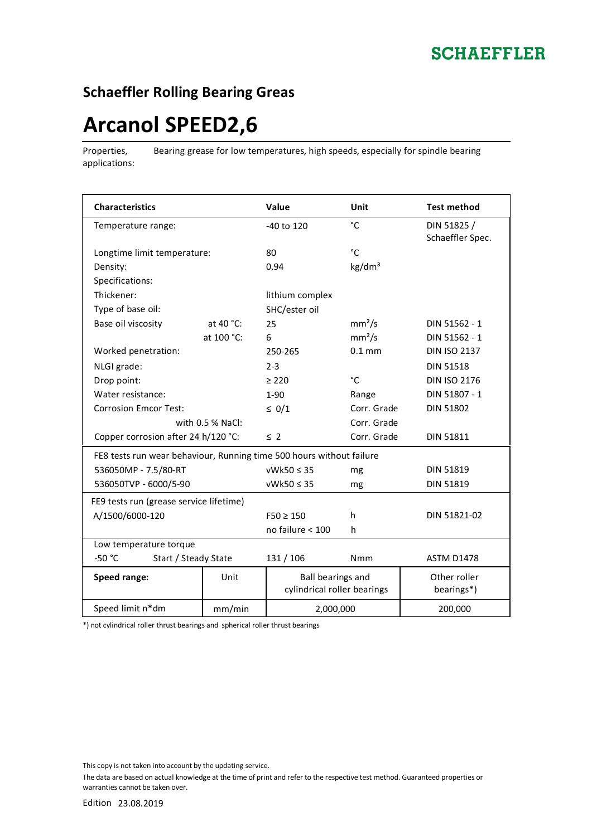#### **Schaeffler Rolling Bearing Greas**

# **Arcanol SPEED2,6**

Properties, applications: Bearing grease for low temperatures, high speeds, especially for spindle bearing

| <b>Characteristics</b>                                               |              | Value                                            | <b>Unit</b>        | <b>Test method</b>              |  |
|----------------------------------------------------------------------|--------------|--------------------------------------------------|--------------------|---------------------------------|--|
| Temperature range:                                                   |              | -40 to 120                                       | °C                 | DIN 51825 /<br>Schaeffler Spec. |  |
| Longtime limit temperature:                                          |              | 80                                               | °C                 |                                 |  |
| Density:                                                             |              | 0.94                                             | kg/dm <sup>3</sup> |                                 |  |
| Specifications:                                                      |              |                                                  |                    |                                 |  |
| Thickener:                                                           |              | lithium complex                                  |                    |                                 |  |
| Type of base oil:                                                    |              | SHC/ester oil                                    |                    |                                 |  |
| Base oil viscosity                                                   | at 40 $°C$ : | 25                                               | mm <sup>2</sup> /s | DIN 51562 - 1                   |  |
|                                                                      | at 100 °C:   | 6                                                | mm <sup>2</sup> /s | DIN 51562 - 1                   |  |
| Worked penetration:                                                  |              | 250-265                                          | $0.1$ mm           | <b>DIN ISO 2137</b>             |  |
| NLGI grade:                                                          |              | $2 - 3$                                          |                    | <b>DIN 51518</b>                |  |
| Drop point:                                                          |              | $\geq 220$                                       | °C                 | <b>DIN ISO 2176</b>             |  |
| Water resistance:                                                    |              | $1 - 90$                                         | Range              | DIN 51807 - 1                   |  |
| <b>Corrosion Emcor Test:</b>                                         |              | $\leq 0/1$                                       | Corr. Grade        | DIN 51802                       |  |
| with $0.5$ % NaCl:                                                   |              |                                                  | Corr. Grade        |                                 |  |
| Copper corrosion after 24 h/120 °C:                                  |              | $\leq$ 2                                         | Corr. Grade        | <b>DIN 51811</b>                |  |
| FE8 tests run wear behaviour, Running time 500 hours without failure |              |                                                  |                    |                                 |  |
| 536050MP - 7.5/80-RT                                                 |              | $vWk50 \leq 35$                                  | mg                 | <b>DIN 51819</b>                |  |
| 536050TVP - 6000/5-90                                                |              | $vWk50 \leq 35$                                  | mg                 | <b>DIN 51819</b>                |  |
| FE9 tests run (grease service lifetime)                              |              |                                                  |                    |                                 |  |
| A/1500/6000-120                                                      |              | $F50 \ge 150$                                    | h                  | DIN 51821-02                    |  |
|                                                                      |              | no failure < 100                                 | h                  |                                 |  |
| Low temperature torque                                               |              |                                                  |                    |                                 |  |
| Start / Steady State<br>$-50 °C$                                     |              | 131 / 106                                        | <b>Nmm</b>         | <b>ASTM D1478</b>               |  |
| Speed range:                                                         | Unit         | Ball bearings and<br>cylindrical roller bearings |                    | Other roller<br>bearings*)      |  |
| Speed limit n*dm                                                     | mm/min       | 2,000,000                                        |                    | 200,000                         |  |

\*) not cylindrical roller thrust bearings and spherical roller thrust bearings

This copy is not taken into account by the updating service.